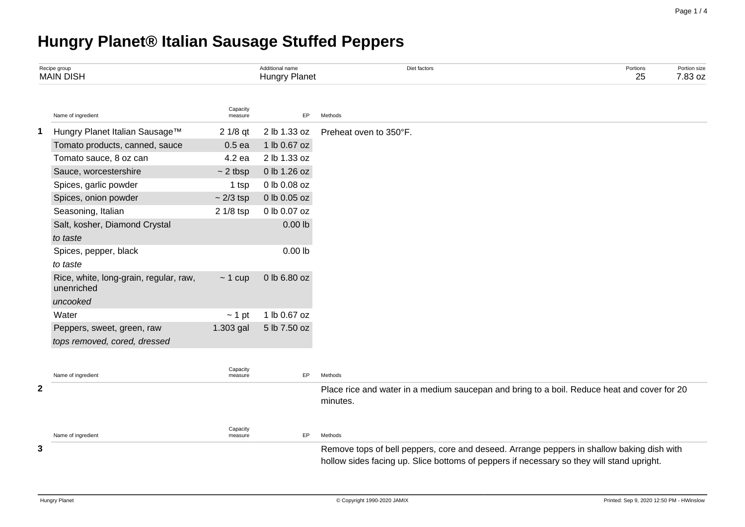# **Hungry Planet® Italian Sausage Stuffed Peppers**

|              | Recipe group<br><b>MAIN DISH</b>                     |                     | Additional name<br><b>Hungry Planet</b> | Diet factors                                                                                                                                                                           | Portions<br>25 | Portion size<br>7.83 oz |
|--------------|------------------------------------------------------|---------------------|-----------------------------------------|----------------------------------------------------------------------------------------------------------------------------------------------------------------------------------------|----------------|-------------------------|
|              | Name of ingredient                                   | Capacity<br>measure | <b>EP</b>                               | Methods                                                                                                                                                                                |                |                         |
| 1            | Hungry Planet Italian Sausage™                       | $21/8$ qt           | 2 lb 1.33 oz                            | Preheat oven to 350°F.                                                                                                                                                                 |                |                         |
|              | Tomato products, canned, sauce                       | $0.5$ ea            | 1 lb 0.67 oz                            |                                                                                                                                                                                        |                |                         |
|              | Tomato sauce, 8 oz can                               | 4.2 ea              | 2 lb 1.33 oz                            |                                                                                                                                                                                        |                |                         |
|              | Sauce, worcestershire                                | $\sim$ 2 tbsp       | 0 lb 1.26 oz                            |                                                                                                                                                                                        |                |                         |
|              | Spices, garlic powder                                | 1 tsp               | 0 lb 0.08 oz                            |                                                                                                                                                                                        |                |                         |
|              | Spices, onion powder                                 | $\sim$ 2/3 tsp      | 0 lb 0.05 oz                            |                                                                                                                                                                                        |                |                         |
|              | Seasoning, Italian                                   | 2 1/8 tsp           | 0 lb 0.07 oz                            |                                                                                                                                                                                        |                |                         |
|              | Salt, kosher, Diamond Crystal                        |                     | $0.00$ lb                               |                                                                                                                                                                                        |                |                         |
|              | to taste                                             |                     |                                         |                                                                                                                                                                                        |                |                         |
|              | Spices, pepper, black                                |                     | $0.00$ lb                               |                                                                                                                                                                                        |                |                         |
|              | to taste                                             |                     |                                         |                                                                                                                                                                                        |                |                         |
|              | Rice, white, long-grain, regular, raw,<br>unenriched | $\sim$ 1 cup        | 0 lb 6.80 oz                            |                                                                                                                                                                                        |                |                         |
|              | uncooked                                             |                     |                                         |                                                                                                                                                                                        |                |                         |
|              | Water                                                | $\sim$ 1 pt         | 1 lb 0.67 oz                            |                                                                                                                                                                                        |                |                         |
|              | Peppers, sweet, green, raw                           | 1.303 gal           | 5 lb 7.50 oz                            |                                                                                                                                                                                        |                |                         |
|              | tops removed, cored, dressed                         |                     |                                         |                                                                                                                                                                                        |                |                         |
|              |                                                      |                     |                                         |                                                                                                                                                                                        |                |                         |
|              | Name of ingredient                                   | Capacity<br>measure | EP                                      | Methods                                                                                                                                                                                |                |                         |
| $\mathbf{2}$ |                                                      |                     |                                         | Place rice and water in a medium saucepan and bring to a boil. Reduce heat and cover for 20<br>minutes.                                                                                |                |                         |
|              | Name of ingredient                                   | Capacity<br>measure | <b>EP</b>                               | Methods                                                                                                                                                                                |                |                         |
| 3            |                                                      |                     |                                         | Remove tops of bell peppers, core and deseed. Arrange peppers in shallow baking dish with<br>hollow sides facing up. Slice bottoms of peppers if necessary so they will stand upright. |                |                         |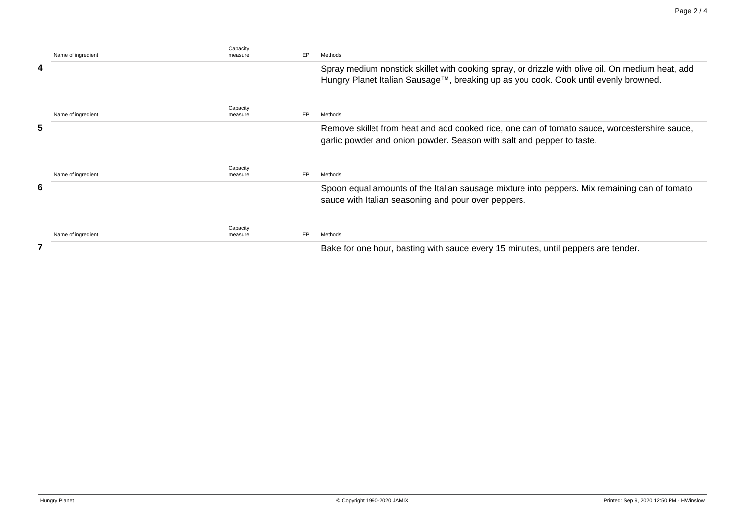|   | Name of ingredient | Capacity<br>measure | EP. | Methods                                                                                                                                                                                 |
|---|--------------------|---------------------|-----|-----------------------------------------------------------------------------------------------------------------------------------------------------------------------------------------|
| 4 |                    |                     |     | Spray medium nonstick skillet with cooking spray, or drizzle with olive oil. On medium heat, add<br>Hungry Planet Italian Sausage™, breaking up as you cook. Cook until evenly browned. |
|   | Name of ingredient | Capacity<br>measure | EP  | Methods                                                                                                                                                                                 |
| 5 |                    |                     |     | Remove skillet from heat and add cooked rice, one can of tomato sauce, worcestershire sauce,<br>garlic powder and onion powder. Season with salt and pepper to taste.                   |
|   | Name of ingredient | Capacity<br>measure | EP  | Methods                                                                                                                                                                                 |
| 6 |                    |                     |     | Spoon equal amounts of the Italian sausage mixture into peppers. Mix remaining can of tomato<br>sauce with Italian seasoning and pour over peppers.                                     |
|   | Name of ingredient | Capacity<br>measure | EP  | Methods                                                                                                                                                                                 |
|   |                    |                     |     | Bake for one hour, basting with sauce every 15 minutes, until peppers are tender.                                                                                                       |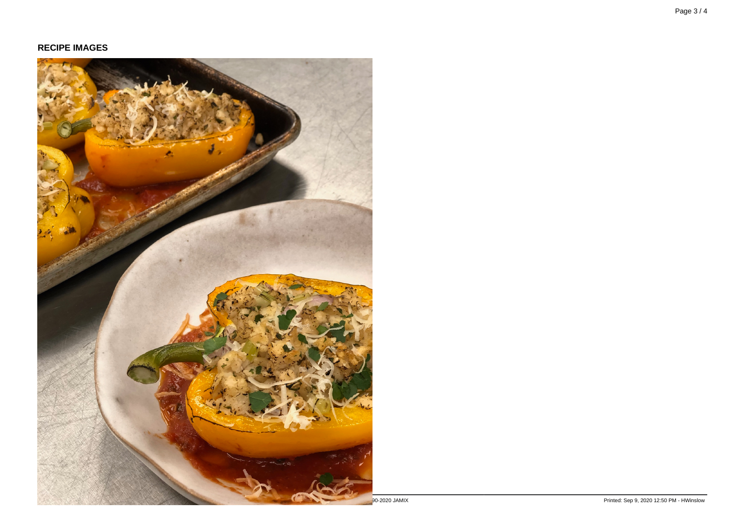#### **RECIPE IMAGES**